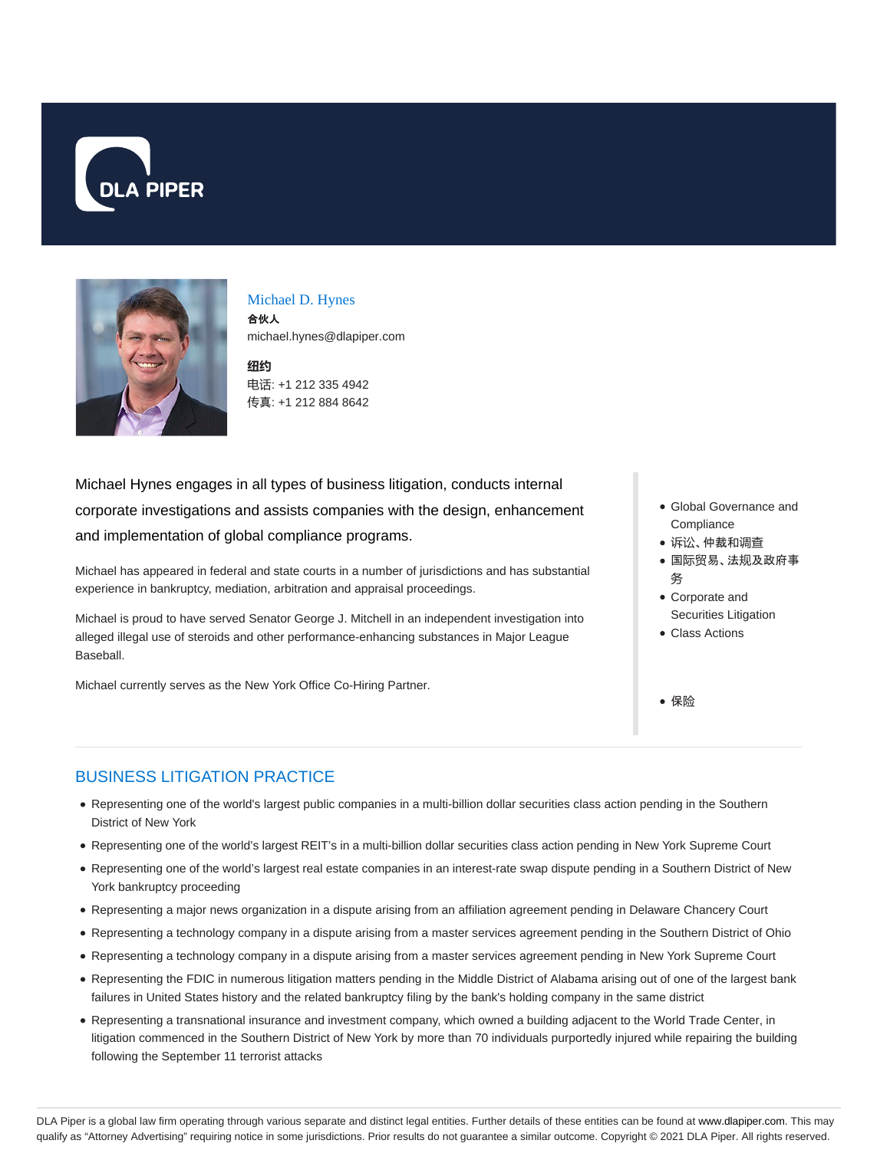



Michael D. Hynes

合伙人 michael.hynes@dlapiper.com

**纽约** 电话: +1 212 335 4942 传真: +1 212 884 8642

Michael Hynes engages in all types of business litigation, conducts internal corporate investigations and assists companies with the design, enhancement and implementation of global compliance programs.

Michael has appeared in federal and state courts in a number of jurisdictions and has substantial experience in bankruptcy, mediation, arbitration and appraisal proceedings.

Michael is proud to have served Senator George J. Mitchell in an independent investigation into alleged illegal use of steroids and other performance-enhancing substances in Major League Baseball.

Michael currently serves as the New York Office Co-Hiring Partner.

- Global Governance and **Compliance**
- 诉讼、仲裁和调查
- 国际贸易、法规及政府事 务
- Corporate and Securities Litigation
- Class Actions

保险

## BUSINESS LITIGATION PRACTICE

- Representing one of the world's largest public companies in a multi-billion dollar securities class action pending in the Southern District of New York
- Representing one of the world's largest REIT's in a multi-billion dollar securities class action pending in New York Supreme Court
- Representing one of the world's largest real estate companies in an interest-rate swap dispute pending in a Southern District of New York bankruptcy proceeding
- Representing a major news organization in a dispute arising from an affiliation agreement pending in Delaware Chancery Court
- Representing a technology company in a dispute arising from a master services agreement pending in the Southern District of Ohio
- Representing a technology company in a dispute arising from a master services agreement pending in New York Supreme Court
- Representing the FDIC in numerous litigation matters pending in the Middle District of Alabama arising out of one of the largest bank failures in United States history and the related bankruptcy filing by the bank's holding company in the same district
- Representing a transnational insurance and investment company, which owned a building adjacent to the World Trade Center, in litigation commenced in the Southern District of New York by more than 70 individuals purportedly injured while repairing the building following the September 11 terrorist attacks

DLA Piper is a global law firm operating through various separate and distinct legal entities. Further details of these entities can be found at www.dlapiper.com. This may qualify as "Attorney Advertising" requiring notice in some jurisdictions. Prior results do not guarantee a similar outcome. Copyright © 2021 DLA Piper. All rights reserved.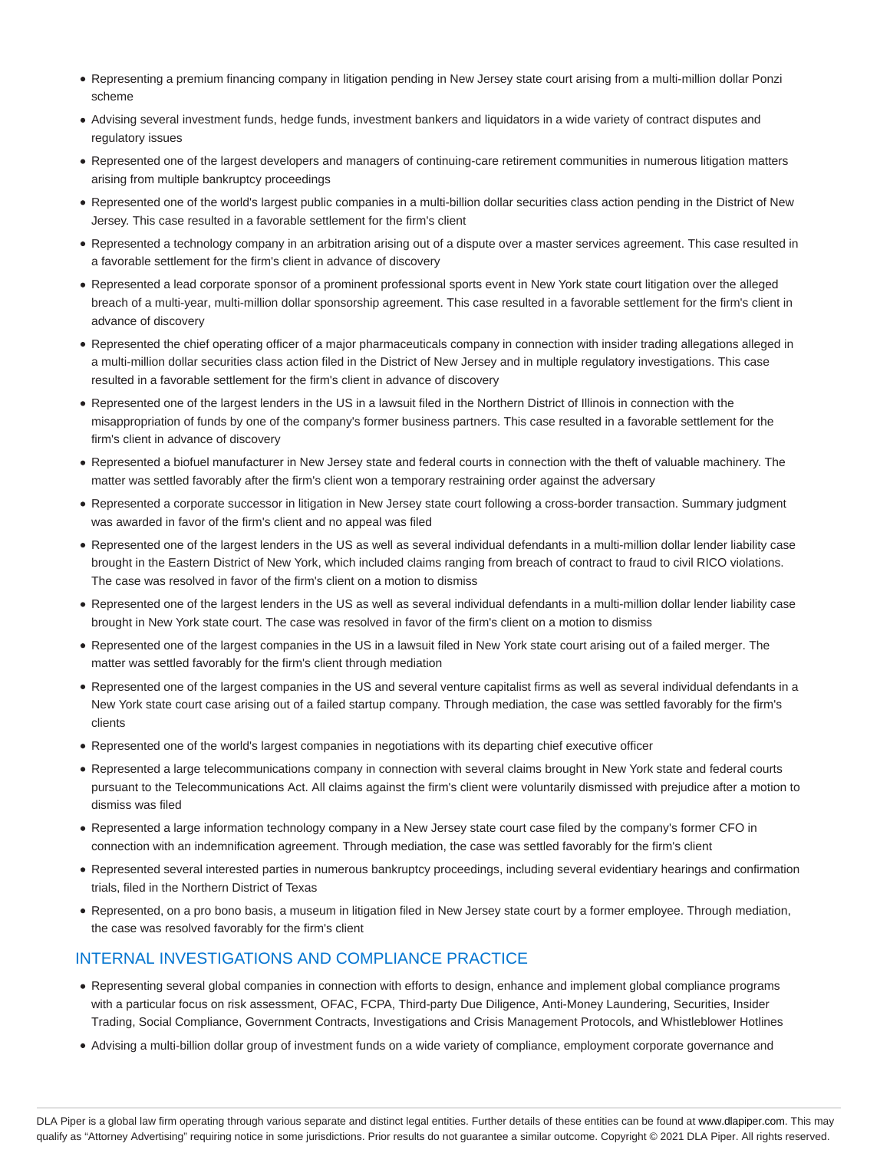- Representing a premium financing company in litigation pending in New Jersey state court arising from a multi-million dollar Ponzi scheme
- Advising several investment funds, hedge funds, investment bankers and liquidators in a wide variety of contract disputes and regulatory issues
- Represented one of the largest developers and managers of continuing-care retirement communities in numerous litigation matters arising from multiple bankruptcy proceedings
- Represented one of the world's largest public companies in a multi-billion dollar securities class action pending in the District of New Jersey. This case resulted in a favorable settlement for the firm's client
- Represented a technology company in an arbitration arising out of a dispute over a master services agreement. This case resulted in a favorable settlement for the firm's client in advance of discovery
- Represented a lead corporate sponsor of a prominent professional sports event in New York state court litigation over the alleged breach of a multi-year, multi-million dollar sponsorship agreement. This case resulted in a favorable settlement for the firm's client in advance of discovery
- Represented the chief operating officer of a major pharmaceuticals company in connection with insider trading allegations alleged in a multi-million dollar securities class action filed in the District of New Jersey and in multiple regulatory investigations. This case resulted in a favorable settlement for the firm's client in advance of discovery
- Represented one of the largest lenders in the US in a lawsuit filed in the Northern District of Illinois in connection with the misappropriation of funds by one of the company's former business partners. This case resulted in a favorable settlement for the firm's client in advance of discovery
- Represented a biofuel manufacturer in New Jersey state and federal courts in connection with the theft of valuable machinery. The matter was settled favorably after the firm's client won a temporary restraining order against the adversary
- Represented a corporate successor in litigation in New Jersey state court following a cross-border transaction. Summary judgment was awarded in favor of the firm's client and no appeal was filed
- Represented one of the largest lenders in the US as well as several individual defendants in a multi-million dollar lender liability case brought in the Eastern District of New York, which included claims ranging from breach of contract to fraud to civil RICO violations. The case was resolved in favor of the firm's client on a motion to dismiss
- Represented one of the largest lenders in the US as well as several individual defendants in a multi-million dollar lender liability case brought in New York state court. The case was resolved in favor of the firm's client on a motion to dismiss
- Represented one of the largest companies in the US in a lawsuit filed in New York state court arising out of a failed merger. The matter was settled favorably for the firm's client through mediation
- Represented one of the largest companies in the US and several venture capitalist firms as well as several individual defendants in a New York state court case arising out of a failed startup company. Through mediation, the case was settled favorably for the firm's clients
- Represented one of the world's largest companies in negotiations with its departing chief executive officer
- Represented a large telecommunications company in connection with several claims brought in New York state and federal courts pursuant to the Telecommunications Act. All claims against the firm's client were voluntarily dismissed with prejudice after a motion to dismiss was filed
- Represented a large information technology company in a New Jersey state court case filed by the company's former CFO in connection with an indemnification agreement. Through mediation, the case was settled favorably for the firm's client
- Represented several interested parties in numerous bankruptcy proceedings, including several evidentiary hearings and confirmation trials, filed in the Northern District of Texas
- Represented, on a pro bono basis, a museum in litigation filed in New Jersey state court by a former employee. Through mediation, the case was resolved favorably for the firm's client

# INTERNAL INVESTIGATIONS AND COMPLIANCE PRACTICE

- Representing several global companies in connection with efforts to design, enhance and implement global compliance programs with a particular focus on risk assessment, OFAC, FCPA, Third-party Due Diligence, Anti-Money Laundering, Securities, Insider Trading, Social Compliance, Government Contracts, Investigations and Crisis Management Protocols, and Whistleblower Hotlines
- Advising a multi-billion dollar group of investment funds on a wide variety of compliance, employment corporate governance and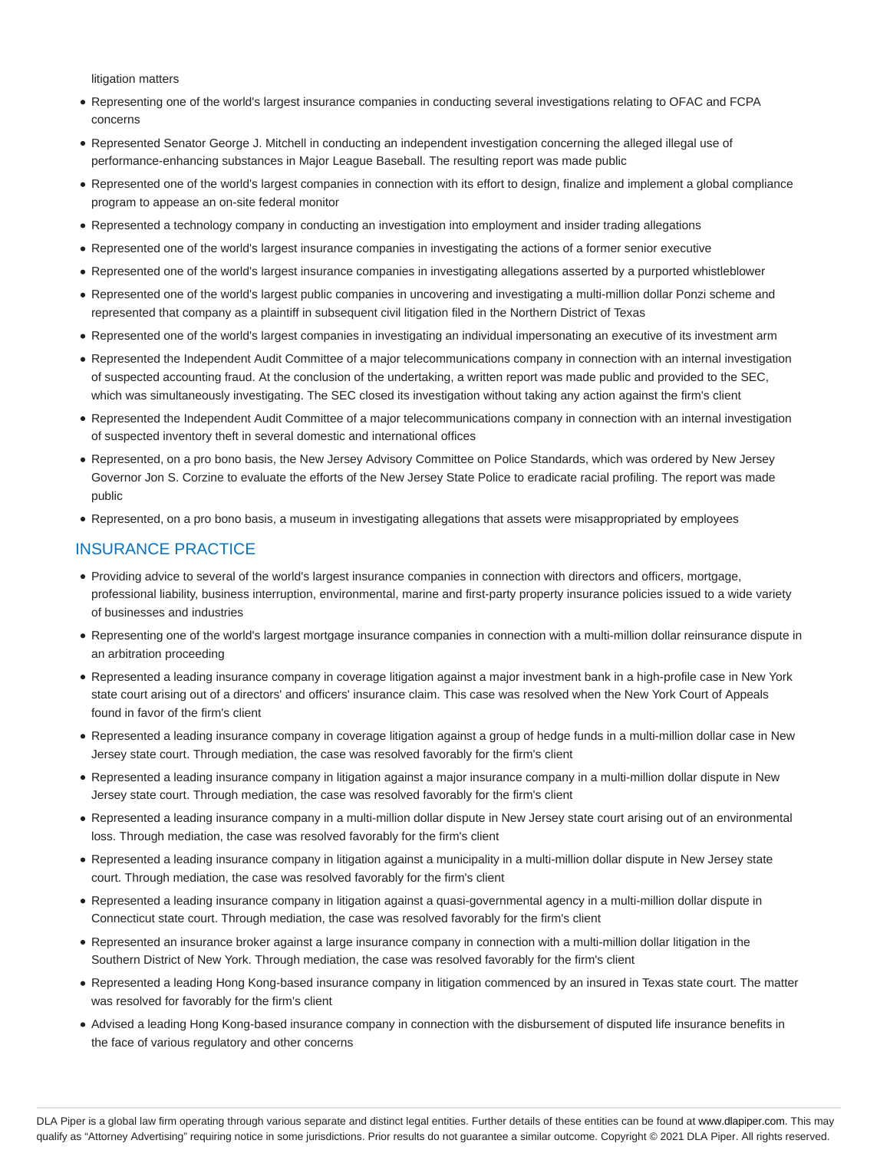litigation matters

- Representing one of the world's largest insurance companies in conducting several investigations relating to OFAC and FCPA concerns
- Represented Senator George J. Mitchell in conducting an independent investigation concerning the alleged illegal use of performance-enhancing substances in Major League Baseball. The resulting report was made public
- Represented one of the world's largest companies in connection with its effort to design, finalize and implement a global compliance program to appease an on-site federal monitor
- Represented a technology company in conducting an investigation into employment and insider trading allegations
- Represented one of the world's largest insurance companies in investigating the actions of a former senior executive
- Represented one of the world's largest insurance companies in investigating allegations asserted by a purported whistleblower
- Represented one of the world's largest public companies in uncovering and investigating a multi-million dollar Ponzi scheme and represented that company as a plaintiff in subsequent civil litigation filed in the Northern District of Texas
- Represented one of the world's largest companies in investigating an individual impersonating an executive of its investment arm
- Represented the Independent Audit Committee of a major telecommunications company in connection with an internal investigation of suspected accounting fraud. At the conclusion of the undertaking, a written report was made public and provided to the SEC, which was simultaneously investigating. The SEC closed its investigation without taking any action against the firm's client
- Represented the Independent Audit Committee of a major telecommunications company in connection with an internal investigation of suspected inventory theft in several domestic and international offices
- Represented, on a pro bono basis, the New Jersey Advisory Committee on Police Standards, which was ordered by New Jersey Governor Jon S. Corzine to evaluate the efforts of the New Jersey State Police to eradicate racial profiling. The report was made public
- Represented, on a pro bono basis, a museum in investigating allegations that assets were misappropriated by employees

#### INSURANCE PRACTICE

- Providing advice to several of the world's largest insurance companies in connection with directors and officers, mortgage, professional liability, business interruption, environmental, marine and first-party property insurance policies issued to a wide variety of businesses and industries
- Representing one of the world's largest mortgage insurance companies in connection with a multi-million dollar reinsurance dispute in an arbitration proceeding
- Represented a leading insurance company in coverage litigation against a major investment bank in a high-profile case in New York state court arising out of a directors' and officers' insurance claim. This case was resolved when the New York Court of Appeals found in favor of the firm's client
- Represented a leading insurance company in coverage litigation against a group of hedge funds in a multi-million dollar case in New Jersey state court. Through mediation, the case was resolved favorably for the firm's client
- Represented a leading insurance company in litigation against a major insurance company in a multi-million dollar dispute in New Jersey state court. Through mediation, the case was resolved favorably for the firm's client
- Represented a leading insurance company in a multi-million dollar dispute in New Jersey state court arising out of an environmental loss. Through mediation, the case was resolved favorably for the firm's client
- Represented a leading insurance company in litigation against a municipality in a multi-million dollar dispute in New Jersey state court. Through mediation, the case was resolved favorably for the firm's client
- Represented a leading insurance company in litigation against a quasi-governmental agency in a multi-million dollar dispute in Connecticut state court. Through mediation, the case was resolved favorably for the firm's client
- Represented an insurance broker against a large insurance company in connection with a multi-million dollar litigation in the Southern District of New York. Through mediation, the case was resolved favorably for the firm's client
- Represented a leading Hong Kong-based insurance company in litigation commenced by an insured in Texas state court. The matter was resolved for favorably for the firm's client
- Advised a leading Hong Kong-based insurance company in connection with the disbursement of disputed life insurance benefits in the face of various regulatory and other concerns